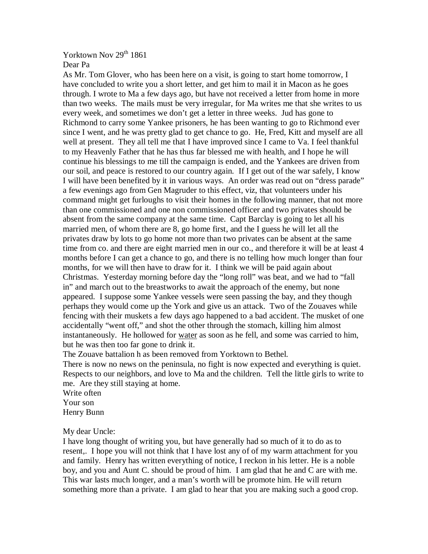## Yorktown Nov 29<sup>th</sup> 1861 Dear Pa

As Mr. Tom Glover, who has been here on a visit, is going to start home tomorrow, I have concluded to write you a short letter, and get him to mail it in Macon as he goes through. I wrote to Ma a few days ago, but have not received a letter from home in more than two weeks. The mails must be very irregular, for Ma writes me that she writes to us every week, and sometimes we don't get a letter in three weeks. Jud has gone to Richmond to carry some Yankee prisoners, he has been wanting to go to Richmond ever since I went, and he was pretty glad to get chance to go. He, Fred, Kitt and myself are all well at present. They all tell me that I have improved since I came to Va. I feel thankful to my Heavenly Father that he has thus far blessed me with health, and I hope he will continue his blessings to me till the campaign is ended, and the Yankees are driven from our soil, and peace is restored to our country again. If I get out of the war safely, I know I will have been benefited by it in various ways. An order was read out on "dress parade" a few evenings ago from Gen Magruder to this effect, viz, that volunteers under his command might get furloughs to visit their homes in the following manner, that not more than one commissioned and one non commissioned officer and two privates should be absent from the same company at the same time. Capt Barclay is going to let all his married men, of whom there are 8, go home first, and the I guess he will let all the privates draw by lots to go home not more than two privates can be absent at the same time from co. and there are eight married men in our co., and therefore it will be at least 4 months before I can get a chance to go, and there is no telling how much longer than four months, for we will then have to draw for it. I think we will be paid again about Christmas. Yesterday morning before day the "long roll" was beat, and we had to "fall in" and march out to the breastworks to await the approach of the enemy, but none appeared. I suppose some Yankee vessels were seen passing the bay, and they though perhaps they would come up the York and give us an attack. Two of the Zouaves while fencing with their muskets a few days ago happened to a bad accident. The musket of one accidentally "went off," and shot the other through the stomach, killing him almost instantaneously. He hollowed for water as soon as he fell, and some was carried to him, but he was then too far gone to drink it.

The Zouave battalion h as been removed from Yorktown to Bethel.

There is now no news on the peninsula, no fight is now expected and everything is quiet. Respects to our neighbors, and love to Ma and the children. Tell the little girls to write to me. Are they still staying at home.

Write often Your son Henry Bunn

My dear Uncle:

I have long thought of writing you, but have generally had so much of it to do as to resent,. I hope you will not think that I have lost any of of my warm attachment for you and family. Henry has written everything of notice, I reckon in his letter. He is a noble boy, and you and Aunt C. should be proud of him. I am glad that he and C are with me. This war lasts much longer, and a man's worth will be promote him. He will return something more than a private. I am glad to hear that you are making such a good crop.